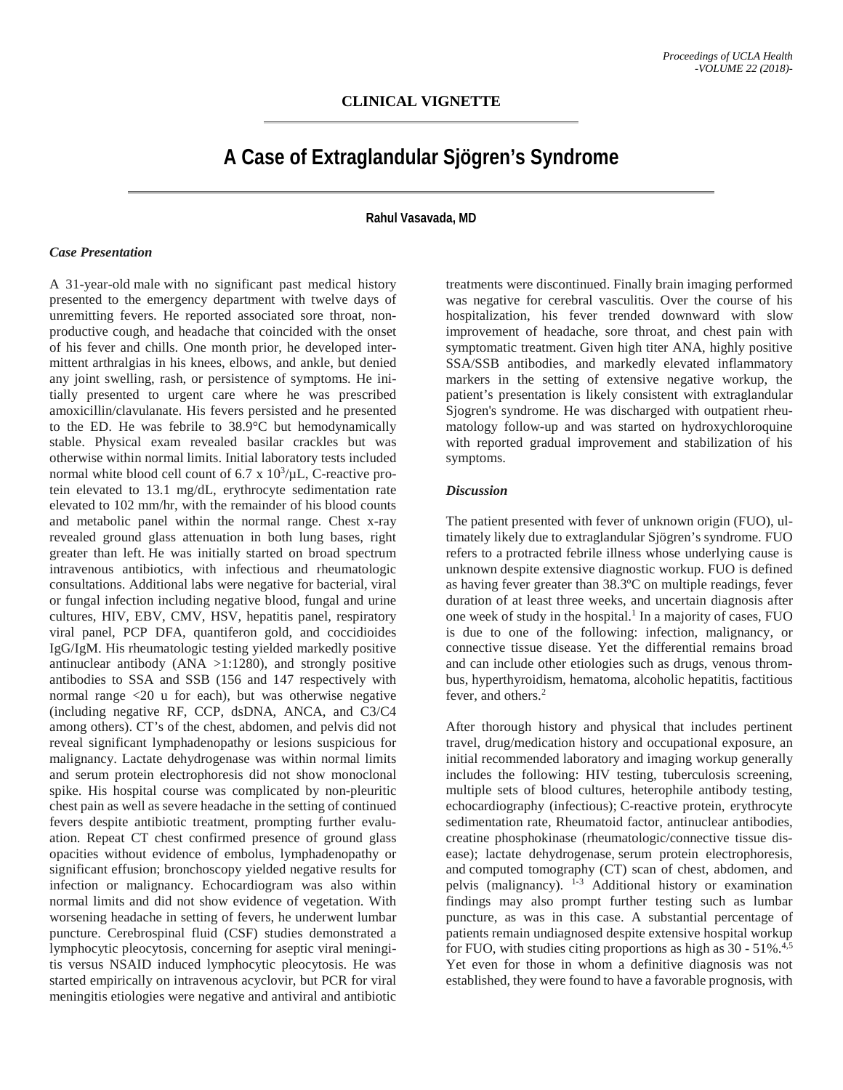# **A Case of Extraglandular Sjögren's Syndrome**

**Rahul Vasavada, MD**

#### *Case Presentation*

A 31-year-old male with no significant past medical history presented to the emergency department with twelve days of unremitting fevers. He reported associated sore throat, nonproductive cough, and headache that coincided with the onset of his fever and chills. One month prior, he developed intermittent arthralgias in his knees, elbows, and ankle, but denied any joint swelling, rash, or persistence of symptoms. He initially presented to urgent care where he was prescribed amoxicillin/clavulanate. His fevers persisted and he presented to the ED. He was febrile to 38.9°C but hemodynamically stable. Physical exam revealed basilar crackles but was otherwise within normal limits. Initial laboratory tests included normal white blood cell count of  $6.7 \times 10^3/\mu$ L, C-reactive protein elevated to 13.1 mg/dL, erythrocyte sedimentation rate elevated to 102 mm/hr, with the remainder of his blood counts and metabolic panel within the normal range. Chest x-ray revealed ground glass attenuation in both lung bases, right greater than left. He was initially started on broad spectrum intravenous antibiotics, with infectious and rheumatologic consultations. Additional labs were negative for bacterial, viral or fungal infection including negative blood, fungal and urine cultures, HIV, EBV, CMV, HSV, hepatitis panel, respiratory viral panel, PCP DFA, quantiferon gold, and coccidioides IgG/IgM. His rheumatologic testing yielded markedly positive antinuclear antibody ( $\text{ANA} > 1:1280$ ), and strongly positive antibodies to SSA and SSB (156 and 147 respectively with normal range <20 u for each), but was otherwise negative (including negative RF, CCP, dsDNA, ANCA, and C3/C4 among others). CT's of the chest, abdomen, and pelvis did not reveal significant lymphadenopathy or lesions suspicious for malignancy. Lactate dehydrogenase was within normal limits and serum protein electrophoresis did not show monoclonal spike. His hospital course was complicated by non-pleuritic chest pain as well as severe headache in the setting of continued fevers despite antibiotic treatment, prompting further evaluation. Repeat CT chest confirmed presence of ground glass opacities without evidence of embolus, lymphadenopathy or significant effusion; bronchoscopy yielded negative results for infection or malignancy. Echocardiogram was also within normal limits and did not show evidence of vegetation. With worsening headache in setting of fevers, he underwent lumbar puncture. Cerebrospinal fluid (CSF) studies demonstrated a lymphocytic pleocytosis, concerning for aseptic viral meningitis versus NSAID induced lymphocytic pleocytosis. He was started empirically on intravenous acyclovir, but PCR for viral meningitis etiologies were negative and antiviral and antibiotic treatments were discontinued. Finally brain imaging performed was negative for cerebral vasculitis. Over the course of his hospitalization, his fever trended downward with slow improvement of headache, sore throat, and chest pain with symptomatic treatment. Given high titer ANA, highly positive SSA/SSB antibodies, and markedly elevated inflammatory markers in the setting of extensive negative workup, the patient's presentation is likely consistent with extraglandular Sjogren's syndrome. He was discharged with outpatient rheumatology follow-up and was started on hydroxychloroquine with reported gradual improvement and stabilization of his symptoms.

### *Discussion*

The patient presented with fever of unknown origin (FUO), ultimately likely due to extraglandular Sjögren's syndrome. FUO refers to a protracted febrile illness whose underlying cause is unknown despite extensive diagnostic workup. FUO is defined as having fever greater than 38.3ºC on multiple readings, fever duration of at least three weeks, and uncertain diagnosis after one week of study in the hospital.<sup>1</sup> In a majority of cases, FUO is due to one of the following: infection, malignancy, or connective tissue disease. Yet the differential remains broad and can include other etiologies such as drugs, venous thrombus, hyperthyroidism, hematoma, alcoholic hepatitis, factitious fever, and others.<sup>2</sup>

After thorough history and physical that includes pertinent travel, drug/medication history and occupational exposure, an initial recommended laboratory and imaging workup generally includes the following: HIV testing, tuberculosis screening, multiple sets of blood cultures, heterophile antibody testing, echocardiography (infectious); C-reactive protein, erythrocyte sedimentation rate, Rheumatoid factor, antinuclear antibodies, creatine phosphokinase (rheumatologic/connective tissue disease); lactate dehydrogenase, serum protein electrophoresis, and computed tomography (CT) scan of chest, abdomen, and pelvis (malignancy). 1-3 Additional history or examination findings may also prompt further testing such as lumbar puncture, as was in this case. A substantial percentage of patients remain undiagnosed despite extensive hospital workup for FUO, with studies citing proportions as high as 30 - 51%.<sup>4,5</sup> Yet even for those in whom a definitive diagnosis was not established, they were found to have a favorable prognosis, with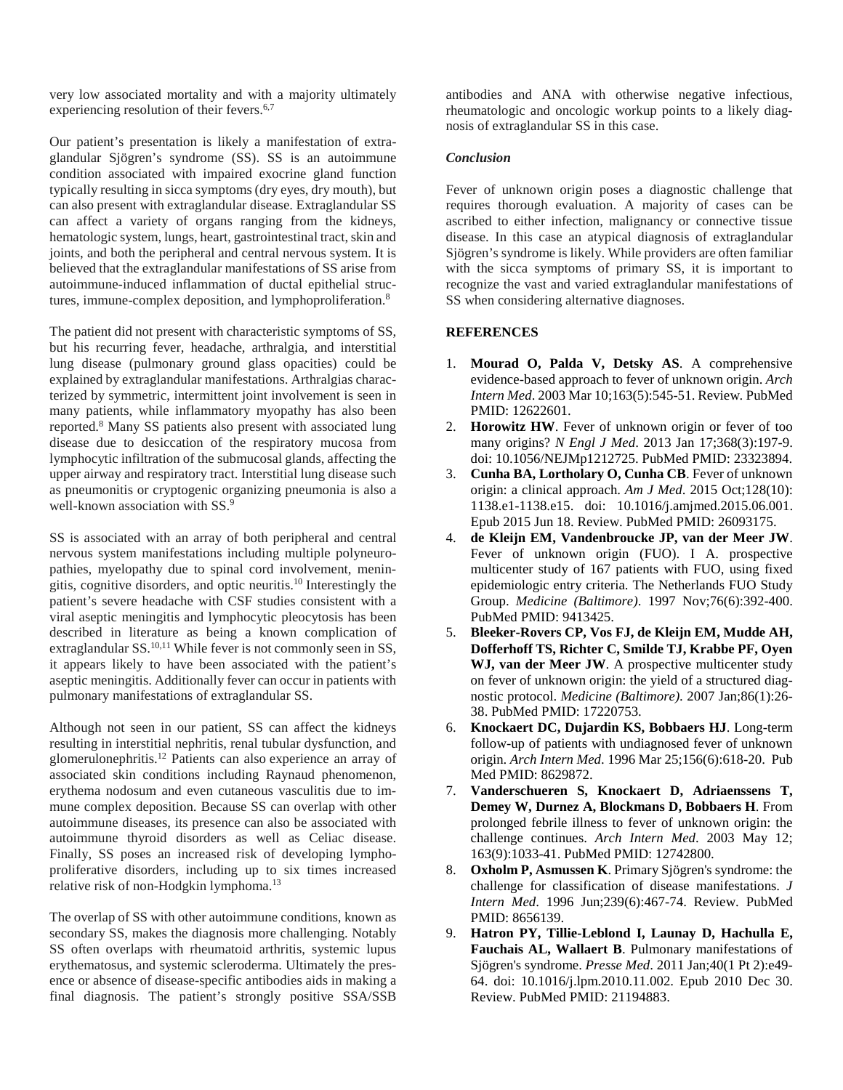very low associated mortality and with a majority ultimately experiencing resolution of their fevers.<sup>6,7</sup>

Our patient's presentation is likely a manifestation of extraglandular Sjögren's syndrome (SS). SS is an autoimmune condition associated with impaired exocrine gland function typically resulting in sicca symptoms (dry eyes, dry mouth), but can also present with extraglandular disease. Extraglandular SS can affect a variety of organs ranging from the kidneys, hematologic system, lungs, heart, gastrointestinal tract, skin and joints, and both the peripheral and central nervous system. It is believed that the extraglandular manifestations of SS arise from autoimmune-induced inflammation of ductal epithelial structures, immune-complex deposition, and lymphoproliferation.8

The patient did not present with characteristic symptoms of SS, but his recurring fever, headache, arthralgia, and interstitial lung disease (pulmonary ground glass opacities) could be explained by extraglandular manifestations. Arthralgias characterized by symmetric, intermittent joint involvement is seen in many patients, while inflammatory myopathy has also been reported.8 Many SS patients also present with associated lung disease due to desiccation of the respiratory mucosa from lymphocytic infiltration of the submucosal glands, affecting the upper airway and respiratory tract. Interstitial lung disease such as pneumonitis or cryptogenic organizing pneumonia is also a well-known association with SS.<sup>9</sup>

SS is associated with an array of both peripheral and central nervous system manifestations including multiple polyneuropathies, myelopathy due to spinal cord involvement, meningitis, cognitive disorders, and optic neuritis.10 Interestingly the patient's severe headache with CSF studies consistent with a viral aseptic meningitis and lymphocytic pleocytosis has been described in literature as being a known complication of extraglandular SS.<sup>10,11</sup> While fever is not commonly seen in SS, it appears likely to have been associated with the patient's aseptic meningitis. Additionally fever can occur in patients with pulmonary manifestations of extraglandular SS.

Although not seen in our patient, SS can affect the kidneys resulting in interstitial nephritis, renal tubular dysfunction, and glomerulonephritis.12 Patients can also experience an array of associated skin conditions including Raynaud phenomenon, erythema nodosum and even cutaneous vasculitis due to immune complex deposition. Because SS can overlap with other autoimmune diseases, its presence can also be associated with autoimmune thyroid disorders as well as Celiac disease. Finally, SS poses an increased risk of developing lymphoproliferative disorders, including up to six times increased relative risk of non-Hodgkin lymphoma.<sup>13</sup>

The overlap of SS with other autoimmune conditions, known as secondary SS, makes the diagnosis more challenging. Notably SS often overlaps with rheumatoid arthritis, systemic lupus erythematosus, and systemic scleroderma. Ultimately the presence or absence of disease-specific antibodies aids in making a final diagnosis. The patient's strongly positive SSA/SSB

antibodies and ANA with otherwise negative infectious, rheumatologic and oncologic workup points to a likely diagnosis of extraglandular SS in this case.

## *Conclusion*

Fever of unknown origin poses a diagnostic challenge that requires thorough evaluation. A majority of cases can be ascribed to either infection, malignancy or connective tissue disease. In this case an atypical diagnosis of extraglandular Sjögren's syndrome is likely. While providers are often familiar with the sicca symptoms of primary SS, it is important to recognize the vast and varied extraglandular manifestations of SS when considering alternative diagnoses.

## **REFERENCES**

- 1. **Mourad O, Palda V, Detsky AS**. A comprehensive evidence-based approach to fever of unknown origin. *Arch Intern Med*. 2003 Mar 10;163(5):545-51. Review. PubMed PMID: 12622601.
- 2. **Horowitz HW**. Fever of unknown origin or fever of too many origins? *N Engl J Med*. 2013 Jan 17;368(3):197-9. doi: 10.1056/NEJMp1212725. PubMed PMID: 23323894.
- 3. **Cunha BA, Lortholary O, Cunha CB**. Fever of unknown origin: a clinical approach. *Am J Med*. 2015 Oct;128(10): 1138.e1-1138.e15. doi: 10.1016/j.amjmed.2015.06.001. Epub 2015 Jun 18. Review. PubMed PMID: 26093175.
- 4. **de Kleijn EM, Vandenbroucke JP, van der Meer JW**. Fever of unknown origin (FUO). I A. prospective multicenter study of 167 patients with FUO, using fixed epidemiologic entry criteria. The Netherlands FUO Study Group. *Medicine (Baltimore)*. 1997 Nov;76(6):392-400. PubMed PMID: 9413425.
- 5. **Bleeker-Rovers CP, Vos FJ, de Kleijn EM, Mudde AH, Dofferhoff TS, Richter C, Smilde TJ, Krabbe PF, Oyen**  WJ, van der Meer JW. A prospective multicenter study on fever of unknown origin: the yield of a structured diagnostic protocol. *Medicine (Baltimore)*. 2007 Jan;86(1):26- 38. PubMed PMID: 17220753.
- 6. **Knockaert DC, Dujardin KS, Bobbaers HJ**. Long-term follow-up of patients with undiagnosed fever of unknown origin. *Arch Intern Med*. 1996 Mar 25;156(6):618-20. Pub Med PMID: 8629872.
- 7. **Vanderschueren S, Knockaert D, Adriaenssens T, Demey W, Durnez A, Blockmans D, Bobbaers H**. From prolonged febrile illness to fever of unknown origin: the challenge continues. *Arch Intern Med*. 2003 May 12; 163(9):1033-41. PubMed PMID: 12742800.
- 8. **Oxholm P, Asmussen K**. Primary Sjögren's syndrome: the challenge for classification of disease manifestations. *J Intern Med*. 1996 Jun;239(6):467-74. Review. PubMed PMID: 8656139.
- 9. **Hatron PY, Tillie-Leblond I, Launay D, Hachulla E, Fauchais AL, Wallaert B**. Pulmonary manifestations of Sjögren's syndrome. *Presse Med*. 2011 Jan;40(1 Pt 2):e49- 64. doi: 10.1016/j.lpm.2010.11.002. Epub 2010 Dec 30. Review. PubMed PMID: 21194883.